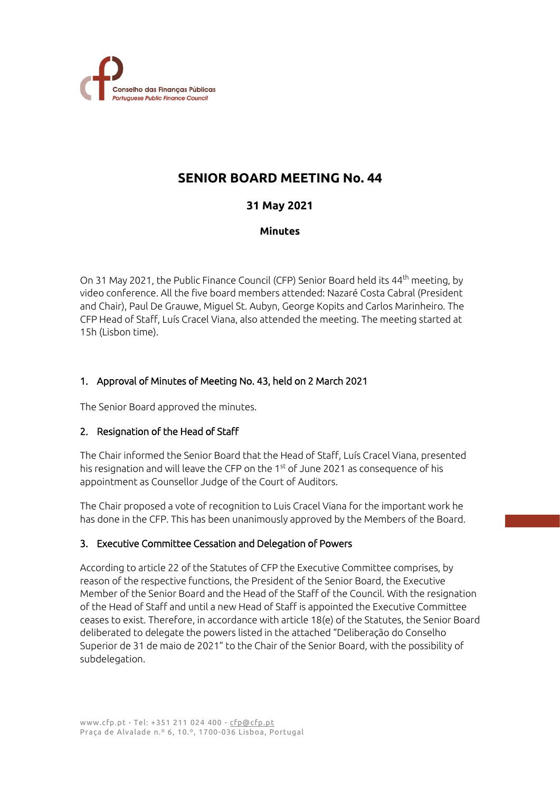

# **SENIOR BOARD MEETING No. 44**

# **31 May 2021**

## **Minutes**

On 31 May 2021, the Public Finance Council (CFP) Senior Board held its 44<sup>th</sup> meeting, by video conference. All the five board members attended: Nazaré Costa Cabral (President and Chair), Paul De Grauwe, Miguel St. Aubyn, George Kopits and Carlos Marinheiro. The CFP Head of Staff, Luís Cracel Viana, also attended the meeting. The meeting started at 15h (Lisbon time).

# 1. Approval of Minutes of Meeting No. 43, held on 2 March 2021

The Senior Board approved the minutes.

## 2. Resignation of the Head of Staff

The Chair informed the Senior Board that the Head of Staff, Luís Cracel Viana, presented his resignation and will leave the CFP on the 1st of June 2021 as consequence of his appointment as Counsellor Judge of the Court of Auditors.

The Chair proposed a vote of recognition to Luis Cracel Viana for the important work he has done in the CFP. This has been unanimously approved by the Members of the Board.

## 3. Executive Committee Cessation and Delegation of Powers

According to article 22 of the Statutes of CFP the Executive Committee comprises, by reason of the respective functions, the President of the Senior Board, the Executive Member of the Senior Board and the Head of the Staff of the Council. With the resignation of the Head of Staff and until a new Head of Staff is appointed the Executive Committee ceases to exist. Therefore, in accordance with article 18(e) of the Statutes, the Senior Board deliberated to delegate the powers listed in the attached "Deliberação do Conselho Superior de 31 de maio de 2021" to the Chair of the Senior Board, with the possibility of subdelegation.